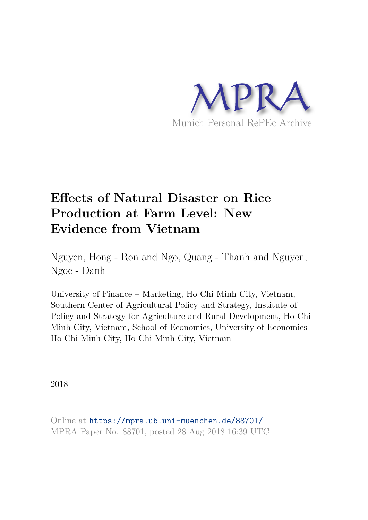

# **Effects of Natural Disaster on Rice Production at Farm Level: New Evidence from Vietnam**

Nguyen, Hong - Ron and Ngo, Quang - Thanh and Nguyen, Ngoc - Danh

University of Finance – Marketing, Ho Chi Minh City, Vietnam, Southern Center of Agricultural Policy and Strategy, Institute of Policy and Strategy for Agriculture and Rural Development, Ho Chi Minh City, Vietnam, School of Economics, University of Economics Ho Chi Minh City, Ho Chi Minh City, Vietnam

2018

Online at https://mpra.ub.uni-muenchen.de/88701/ MPRA Paper No. 88701, posted 28 Aug 2018 16:39 UTC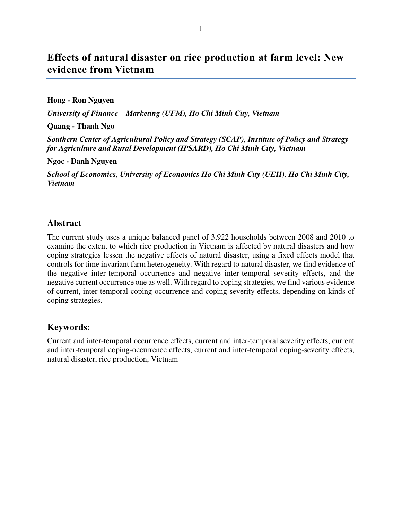# **Effects of natural disaster on rice production at farm level: New evidence from Vietnam**

#### **Hong - Ron Nguyen**

*University of Finance – Marketing (UFM), Ho Chi Minh City, Vietnam* 

**Quang - Thanh Ngo** 

*Southern Center of Agricultural Policy and Strategy (SCAP), Institute of Policy and Strategy for Agriculture and Rural Development (IPSARD), Ho Chi Minh City, Vietnam* 

**Ngoc - Danh Nguyen** 

*School of Economics, University of Economics Ho Chi Minh City (UEH), Ho Chi Minh City, Vietnam* 

# **Abstract**

The current study uses a unique balanced panel of 3,922 households between 2008 and 2010 to examine the extent to which rice production in Vietnam is affected by natural disasters and how coping strategies lessen the negative effects of natural disaster, using a fixed effects model that controls for time invariant farm heterogeneity. With regard to natural disaster, we find evidence of the negative inter-temporal occurrence and negative inter-temporal severity effects, and the negative current occurrence one as well. With regard to coping strategies, we find various evidence of current, inter-temporal coping-occurrence and coping-severity effects, depending on kinds of coping strategies.

# **Keywords:**

Current and inter-temporal occurrence effects, current and inter-temporal severity effects, current and inter-temporal coping-occurrence effects, current and inter-temporal coping-severity effects, natural disaster, rice production, Vietnam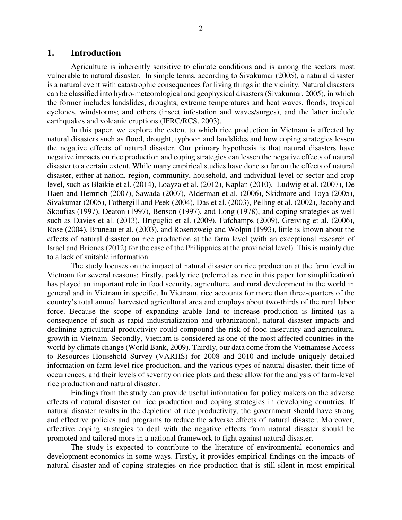### **1. Introduction**

Agriculture is inherently sensitive to climate conditions and is among the sectors most vulnerable to natural disaster. In simple terms, according to Sivakumar (2005), a natural disaster is a natural event with catastrophic consequences for living things in the vicinity. Natural disasters can be classified into hydro-meteorological and geophysical disasters (Sivakumar, 2005), in which the former includes landslides, droughts, extreme temperatures and heat waves, floods, tropical cyclones, windstorms; and others (insect infestation and waves/surges), and the latter include earthquakes and volcanic eruptions (IFRC/RCS, 2003).

In this paper, we explore the extent to which rice production in Vietnam is affected by natural disasters such as flood, drought, typhoon and landslides and how coping strategies lessen the negative effects of natural disaster. Our primary hypothesis is that natural disasters have negative impacts on rice production and coping strategies can lessen the negative effects of natural disaster to a certain extent. While many empirical studies have done so far on the effects of natural disaster, either at nation, region, community, household, and individual level or sector and crop level, such as Blaikie et al. (2014), Loayza et al. (2012), Kaplan (2010), Ludwig et al. (2007), De Haen and Hemrich (2007), Sawada (2007), Alderman et al. (2006), Skidmore and Toya (2005), Sivakumar (2005), Fothergill and Peek (2004), Das et al. (2003), Pelling et al. (2002), Jacoby and Skoufias (1997), Deaton (1997), Benson (1997), and Long (1978), and coping strategies as well such as Davies et al. (2013), Briguglio et al. (2009), Fafchamps (2009), Greiving et al. (2006), Rose (2004), Bruneau et al. (2003), and Rosenzweig and Wolpin (1993), little is known about the effects of natural disaster on rice production at the farm level (with an exceptional research of Israel and Briones (2012) for the case of the Philippnies at the provincial level). This is mainly due to a lack of suitable information.

The study focuses on the impact of natural disaster on rice production at the farm level in Vietnam for several reasons: Firstly, paddy rice (referred as rice in this paper for simplification) has played an important role in food security, agriculture, and rural development in the world in general and in Vietnam in specific. In Vietnam, rice accounts for more than three-quarters of the country's total annual harvested agricultural area and employs about two-thirds of the rural labor force. Because the scope of expanding arable land to increase production is limited (as a consequence of such as rapid industrialization and urbanization), natural disaster impacts and declining agricultural productivity could compound the risk of food insecurity and agricultural growth in Vietnam. Secondly, Vietnam is considered as one of the most affected countries in the world by climate change (World Bank, 2009). Thirdly, our data come from the Vietnamese Access to Resources Household Survey (VARHS) for 2008 and 2010 and include uniquely detailed information on farm-level rice production, and the various types of natural disaster, their time of occurrences, and their levels of severity on rice plots and these allow for the analysis of farm-level rice production and natural disaster.

Findings from the study can provide useful information for policy makers on the adverse effects of natural disaster on rice production and coping strategies in developing countries. If natural disaster results in the depletion of rice productivity, the government should have strong and effective policies and programs to reduce the adverse effects of natural disaster. Moreover, effective coping strategies to deal with the negative effects from natural disaster should be promoted and tailored more in a national framework to fight against natural disaster.

The study is expected to contribute to the literature of environmental economics and development economics in some ways. Firstly, it provides empirical findings on the impacts of natural disaster and of coping strategies on rice production that is still silent in most empirical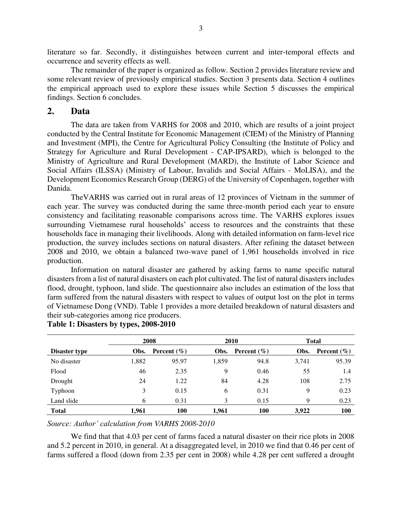literature so far. Secondly, it distinguishes between current and inter-temporal effects and occurrence and severity effects as well.

The remainder of the paper is organized as follow. Section 2 provides literature review and some relevant review of previously empirical studies. Section 3 presents data. Section 4 outlines the empirical approach used to explore these issues while Section 5 discusses the empirical findings. Section 6 concludes.

#### **2. Data**

The data are taken from VARHS for 2008 and 2010, which are results of a joint project conducted by the Central Institute for Economic Management (CIEM) of the Ministry of Planning and Investment (MPI), the Centre for Agricultural Policy Consulting (the Institute of Policy and Strategy for Agriculture and Rural Development - CAP-IPSARD), which is belonged to the Ministry of Agriculture and Rural Development (MARD), the Institute of Labor Science and Social Affairs (ILSSA) (Ministry of Labour, Invalids and Social Affairs - MoLISA), and the Development Economics Research Group (DERG) of the University of Copenhagen, together with Danida.

TheVARHS was carried out in rural areas of 12 provinces of Vietnam in the summer of each year. The survey was conducted during the same three-month period each year to ensure consistency and facilitating reasonable comparisons across time. The VARHS explores issues surrounding Vietnamese rural households' access to resources and the constraints that these households face in managing their livelihoods. Along with detailed information on farm-level rice production, the survey includes sections on natural disasters. After refining the dataset between 2008 and 2010, we obtain a balanced two-wave panel of 1,961 households involved in rice production.

Information on natural disaster are gathered by asking farms to name specific natural disasters from a list of natural disasters on each plot cultivated. The list of natural disasters includes flood, drought, typhoon, land slide. The questionnaire also includes an estimation of the loss that farm suffered from the natural disasters with respect to values of output lost on the plot in terms of Vietnamese Dong (VND). Table 1 provides a more detailed breakdown of natural disasters and their sub-categories among rice producers.

|               | 2008  |                 |       | 2010            |       | <b>Total</b>           |  |
|---------------|-------|-----------------|-------|-----------------|-------|------------------------|--|
| Disaster type | Obs.  | Percent $(\% )$ | Obs.  | Percent $(\% )$ | Obs.  | <b>Percent</b> $(\% )$ |  |
| No disaster   | 1,882 | 95.97           | 1,859 | 94.8            | 3,741 | 95.39                  |  |
| Flood         | 46    | 2.35            | 9     | 0.46            | 55    | 1.4                    |  |
| Drought       | 24    | 1.22            | 84    | 4.28            | 108   | 2.75                   |  |
| Typhoon       | 3     | 0.15            | 6     | 0.31            | 9     | 0.23                   |  |
| Land slide    | 6     | 0.31            | 3     | 0.15            | Q     | 0.23                   |  |
| <b>Total</b>  | 1,961 | 100             | 1.961 | 100             | 3.922 | 100                    |  |

#### **Table 1: Disasters by types, 2008-2010**

*Source: Author' calculation from VARHS 2008-2010* 

We find that that 4.03 per cent of farms faced a natural disaster on their rice plots in 2008 and 5.2 percent in 2010, in general. At a disaggregated level, in 2010 we find that 0.46 per cent of farms suffered a flood (down from 2.35 per cent in 2008) while 4.28 per cent suffered a drought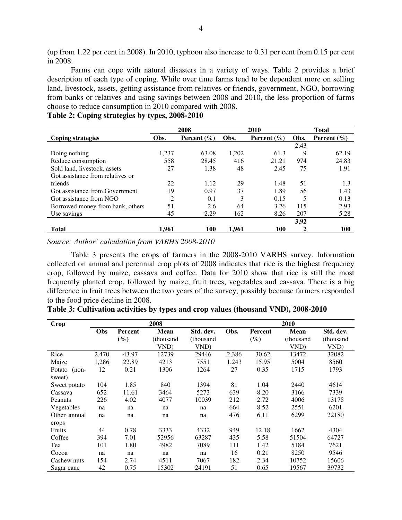(up from 1.22 per cent in 2008). In 2010, typhoon also increase to 0.31 per cent from 0.15 per cent in 2008.

Farms can cope with natural disasters in a variety of ways. Table 2 provides a brief description of each type of coping. While over time farms tend to be dependent more on selling land, livestock, assets, getting assistance from relatives or friends, government, NGO, borrowing from banks or relatives and using savings between 2008 and 2010, the less proportion of farms choose to reduce consumption in 2010 compared with 2008.

|                                  | 2008  |                 |       | 2010            | <b>Total</b> |                 |
|----------------------------------|-------|-----------------|-------|-----------------|--------------|-----------------|
| <b>Coping strategies</b>         | Obs.  | Percent $(\% )$ | Obs.  | Percent $(\% )$ | Obs.         | Percent $(\% )$ |
|                                  |       |                 |       |                 | 2,43         |                 |
| Doing nothing                    | 1,237 | 63.08           | 1,202 | 61.3            | 9            | 62.19           |
| Reduce consumption               | 558   | 28.45           | 416   | 21.21           | 974          | 24.83           |
| Sold land, livestock, assets     | 27    | 1.38            | 48    | 2.45            | 75           | 1.91            |
| Got assistance from relatives or |       |                 |       |                 |              |                 |
| friends                          | 22    | 1.12            | 29    | 1.48            | 51           | 1.3             |
| Got assistance from Government   | 19    | 0.97            | 37    | 1.89            | 56           | 1.43            |
| Got assistance from NGO          | 2     | 0.1             | 3     | 0.15            | 5            | 0.13            |
| Borrowed money from bank, others | 51    | 2.6             | 64    | 3.26            | 115          | 2.93            |
| Use savings                      | 45    | 2.29            | 162   | 8.26            | 207          | 5.28            |
|                                  |       |                 |       |                 | 3,92         |                 |
| <b>Total</b>                     | 1.961 | 100             | 1.961 | 100             |              | 100             |

|  |  |  |  |  | Table 2: Coping strategies by types, 2008-2010 |
|--|--|--|--|--|------------------------------------------------|
|--|--|--|--|--|------------------------------------------------|

*Source: Author' calculation from VARHS 2008-2010* 

Table 3 presents the crops of farmers in the 2008-2010 VARHS survey. Information collected on annual and perennial crop plots of 2008 indicates that rice is the highest frequency crop, followed by maize, cassava and coffee. Data for 2010 show that rice is still the most frequently planted crop, followed by maize, fruit trees, vegetables and cassava. There is a big difference in fruit trees between the two years of the survey, possibly because farmers responded to the food price decline in 2008.

| <b>Crop</b>                 | 2008  |                          |                                  |                                |       | 2010              |                           |                                |  |  |
|-----------------------------|-------|--------------------------|----------------------------------|--------------------------------|-------|-------------------|---------------------------|--------------------------------|--|--|
|                             | Obs   | <b>Percent</b><br>$(\%)$ | <b>Mean</b><br>(thousand<br>VND) | Std. dev.<br>(thousand<br>VND) | Obs.  | Percent<br>$(\%)$ | Mean<br>(thousand<br>VND) | Std. dev.<br>(thousand<br>VND) |  |  |
| Rice                        | 2.470 | 43.97                    | 12739                            | 29446                          | 2,386 | 30.62             | 13472                     | 32082                          |  |  |
| Maize                       | 1,286 | 22.89                    | 4213                             | 7551                           | 1,243 | 15.95             | 5004                      | 8560                           |  |  |
| Potato<br>$(non-$<br>sweet) | 12    | 0.21                     | 1306                             | 1264                           | 27    | 0.35              | 1715                      | 1793                           |  |  |
| Sweet potato                | 104   | 1.85                     | 840                              | 1394                           | 81    | 1.04              | 2440                      | 4614                           |  |  |
| Cassava                     | 652   | 11.61                    | 3464                             | 5273                           | 639   | 8.20              | 3166                      | 7339                           |  |  |
| Peanuts                     | 226   | 4.02                     | 4077                             | 10039                          | 212   | 2.72              | 4006                      | 13178                          |  |  |
| Vegetables                  | na    | na                       | na                               | na                             | 664   | 8.52              | 2551                      | 6201                           |  |  |
| Other annual                | na    | na                       | na                               | na                             | 476   | 6.11              | 6299                      | 22180                          |  |  |
| crops                       |       |                          |                                  |                                |       |                   |                           |                                |  |  |
| Fruits                      | 44    | 0.78                     | 3333                             | 4332                           | 949   | 12.18             | 1662                      | 4304                           |  |  |
| Coffee                      | 394   | 7.01                     | 52956                            | 63287                          | 435   | 5.58              | 51504                     | 64727                          |  |  |
| Tea                         | 101   | 1.80                     | 4982                             | 7089                           | 111   | 1.42              | 5184                      | 7621                           |  |  |
| Cocoa                       | na    | na                       | na                               | na                             | 16    | 0.21              | 8250                      | 9546                           |  |  |
| Cashew nuts                 | 154   | 2.74                     | 4511                             | 7067                           | 182   | 2.34              | 10752                     | 15606                          |  |  |
| Sugar cane                  | 42    | 0.75                     | 15302                            | 24191                          | 51    | 0.65              | 19567                     | 39732                          |  |  |

**Table 3: Cultivation activities by types and crop values (thousand VND), 2008-2010**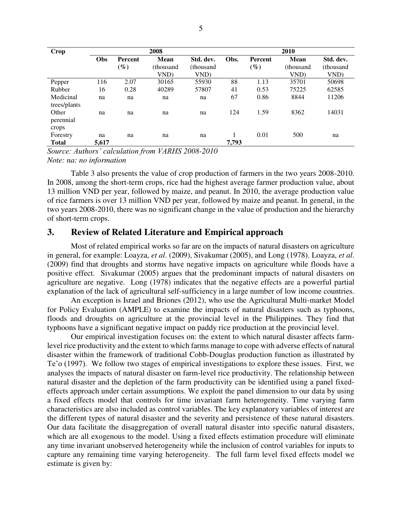| Crop         | 2008       |                |             |            |       | 2010    |             |            |  |
|--------------|------------|----------------|-------------|------------|-------|---------|-------------|------------|--|
|              | <b>Obs</b> | <b>Percent</b> | <b>Mean</b> | Std. dev.  | Obs.  | Percent | <b>Mean</b> | Std. dev.  |  |
|              |            | $(\%)$         | (thousand   | (thousand) |       | $(\%)$  | (thousand   | (thousand) |  |
|              |            |                | VND)        | VND)       |       |         | VND)        | VND)       |  |
| Pepper       | 116        | 2.07           | 30165       | 55930      | 88    | 1.13    | 35701       | 50698      |  |
| Rubber       | 16         | 0.28           | 40289       | 57807      | 41    | 0.53    | 75225       | 62585      |  |
| Medicinal    | na         | na             | na          | na         | 67    | 0.86    | 8844        | 11206      |  |
| trees/plants |            |                |             |            |       |         |             |            |  |
| Other        | na         | na             | na          | na         | 124   | 1.59    | 8362        | 14031      |  |
| perennial    |            |                |             |            |       |         |             |            |  |
| crops        |            |                |             |            |       |         |             |            |  |
| Forestry     | na         | na             | na          | na         |       | 0.01    | 500         | na         |  |
| <b>Total</b> | 5,617      |                |             |            | 7,793 |         |             |            |  |

*Source: Authors' calculation from VARHS 2008-2010 Note: na: no information* 

Table 3 also presents the value of crop production of farmers in the two years 2008-2010. In 2008, among the short-term crops, rice had the highest average farmer production value, about 13 million VND per year, followed by maize, and peanut. In 2010, the average production value of rice farmers is over 13 million VND per year, followed by maize and peanut. In general, in the two years 2008-2010, there was no significant change in the value of production and the hierarchy of short-term crops.

# **3. Review of Related Literature and Empirical approach**

Most of related empirical works so far are on the impacts of natural disasters on agriculture in general, for example: Loayza, *et al*. (2009), Sivakumar (2005), and Long (1978). Loayza, *et al*. (2009) find that droughts and storms have negative impacts on agriculture while floods have a positive effect. Sivakumar (2005) argues that the predominant impacts of natural disasters on agriculture are negative. Long (1978) indicates that the negative effects are a powerful partial explanation of the lack of agricultural self-sufficiency in a large number of low income countries.

An exception is Israel and Briones (2012), who use the Agricultural Multi-market Model for Policy Evaluation (AMPLE) to examine the impacts of natural disasters such as typhoons, floods and droughts on agriculture at the provincial level in the Philippines. They find that typhoons have a significant negative impact on paddy rice production at the provincial level.

Our empirical investigation focuses on: the extent to which natural disaster affects farmlevel rice productivity and the extent to which farms manage to cope with adverse effects of natural disaster within the framework of traditional Cobb-Douglas production function as illustrated by Te'o (1997). We follow two stages of empirical investigations to explore these issues. First, we analyses the impacts of natural disaster on farm-level rice productivity. The relationship between natural disaster and the depletion of the farm productivity can be identified using a panel fixedeffects approach under certain assumptions. We exploit the panel dimension to our data by using a fixed effects model that controls for time invariant farm heterogeneity. Time varying farm characteristics are also included as control variables. The key explanatory variables of interest are the different types of natural disaster and the severity and persistence of these natural disasters. Our data facilitate the disaggregation of overall natural disaster into specific natural disasters, which are all exogenous to the model. Using a fixed effects estimation procedure will eliminate any time invariant unobserved heterogeneity while the inclusion of control variables for inputs to capture any remaining time varying heterogeneity. The full farm level fixed effects model we estimate is given by: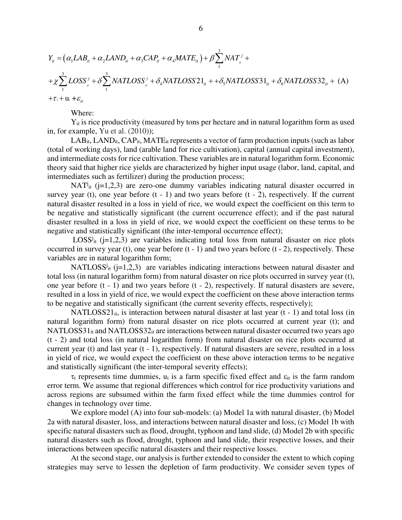$$
Y_{ii} = (\alpha_1 LAB_{ii} + \alpha_2 LAND_{ii} + \alpha_3 CAP_{ii} + \alpha_4 MATE_{ii}) + \beta \sum_{i=1}^{3} NAT_{ii} +
$$
  
+  $\chi \sum_{i=1}^{3} LOSS_{ii}^{j} + \delta \sum_{i=1}^{3} NATLOSS_{ii}^{j} + \delta_4 NATLOSS21_{ii} + + \delta_5 NATLOSS31_{ii} + \delta_6 NATLOSS32_{ii} + (A)$   
+  $\tau_i + u_i + \varepsilon_{ii}$ 

Where:

Yit is rice productivity (measured by tons per hectare and in natural logarithm form as used in, for example, Yu et al. (2010));

 $LAB_{it}$ ,  $LAND_{it}$ ,  $CAP_{it}$ ,  $MATE_{it}$  represents a vector of farm production inputs (such as labor (total of working days), land (arable land for rice cultivation), capital (annual capital investment), and intermediate costs for rice cultivation. These variables are in natural logarithm form. Economic theory said that higher rice yields are characterized by higher input usage (labor, land, capital, and intermediates such as fertilizer) during the production process;

NAT<sup>j</sup><sub>it</sub> (j=1,2,3) are zero-one dummy variables indicating natural disaster occurred in survey year (t), one year before  $(t - 1)$  and two years before  $(t - 2)$ , respectively. If the current natural disaster resulted in a loss in yield of rice, we would expect the coefficient on this term to be negative and statistically significant (the current occurrence effect); and if the past natural disaster resulted in a loss in yield of rice, we would expect the coefficient on these terms to be negative and statistically significant (the inter-temporal occurrence effect);

LOSS<sup>j<sub>it</sub> (j=1,2,3) are variables indicating total loss from natural disaster on rice plots</sup> occurred in survey year (t), one year before (t - 1) and two years before (t - 2), respectively. These variables are in natural logarithm form;

NATLOSS<sup>j</sup><sub>it</sub> (j=1,2,3) are variables indicating interactions between natural disaster and total loss (in natural logarithm form) from natural disaster on rice plots occurred in survey year (t), one year before (t - 1) and two years before (t - 2), respectively. If natural disasters are severe, resulted in a loss in yield of rice, we would expect the coefficient on these above interaction terms to be negative and statistically significant (the current severity effects, respectively);

NATLOSS21<sub>it</sub>, is interaction between natural disaster at last year  $(t - 1)$  and total loss (in natural logarithm form) from natural disaster on rice plots occurred at current year (t); and NATLOSS31 $_{it}$  and NATLOSS32 $_{it}$  are interactions between natural disaster occurred two years ago (t - 2) and total loss (in natural logarithm form) from natural disaster on rice plots occurred at current year (t) and last year (t - 1), respectively. If natural disasters are severe, resulted in a loss in yield of rice, we would expect the coefficient on these above interaction terms to be negative and statistically significant (the inter-temporal severity effects);

 $\tau_t$  represents time dummies,  $u_i$  is a farm specific fixed effect and  $\varepsilon_{it}$  is the farm random error term. We assume that regional differences which control for rice productivity variations and across regions are subsumed within the farm fixed effect while the time dummies control for changes in technology over time.

We explore model (A) into four sub-models: (a) Model 1a with natural disaster, (b) Model 2a with natural disaster, loss, and interactions between natural disaster and loss, (c) Model 1b with specific natural disasters such as flood, drought, typhoon and land slide, (d) Model 2b with specific natural disasters such as flood, drought, typhoon and land slide, their respective losses, and their interactions between specific natural disasters and their respective losses.

At the second stage, our analysis is further extended to consider the extent to which coping strategies may serve to lessen the depletion of farm productivity. We consider seven types of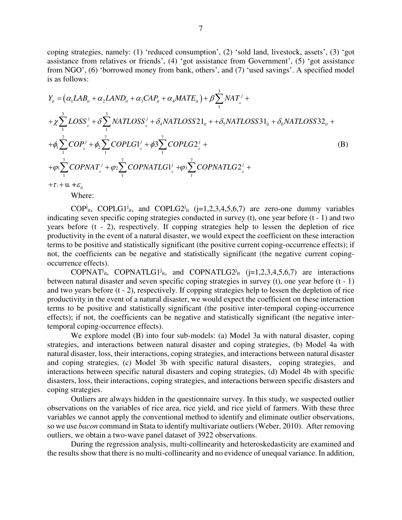coping strategies, namely: (1) 'reduced consumption', (2) 'sold land, livestock, assets', (3) 'got assistance from relatives or friends', (4) 'got assistance from Government', (5) 'got assistance from NGO', (6) 'borrowed money from bank, others', and (7) 'used savings'. A specified model is as follows:

$$
Y_{ii} = (\alpha_1 LAB_{ii} + \alpha_2 LAND_{ii} + \alpha_3 CAP_{ii} + \alpha_4 MATE_{ii}) + \beta \sum_{1}^{3} NAT_{ii} +
$$
  
+  $\chi \sum_{1}^{3} LOSS_{ii}^{j} + \delta \sum_{1}^{3} NATLOSS_{ii}^{j} + \delta_4 NATLOSS21_{ii} + + \delta_5 NATLOSS31_{ii} + \delta_6 NATLOSS32_{ii} +$   
+  $\phi_1 \sum_{1}^{7} COP_{ii}^{j} + \phi_2 \sum_{1}^{7} COPLG1_{ii}^{j} + \phi_3 \sum_{1}^{7} COPLG2_{i}^{j} +$   
+  $\phi_1 \sum_{1}^{7} COPNAT_{ii}^{j} + \phi_2 \sum_{1}^{7} COPNATLG1_{ii}^{j} + \phi_3 \sum_{1}^{7} COPNATLG2_{i}^{j} +$   
+  $\tau_1 + u_i + \varepsilon_{ii}$  (B)

Where:

COP<sup>j</sup><sub>it</sub>, COPLG1<sup>j</sup><sub>it</sub>, and COPLG2<sup>j</sup><sub>it</sub> (j=1,2,3,4,5,6,7) are zero-one dummy variables indicating seven specific coping strategies conducted in survey (t), one year before (t - 1) and two years before (t - 2), respectively. If copping strategies help to lessen the depletion of rice productivity in the event of a natural disaster, we would expect the coefficient on these interaction terms to be positive and statistically significant (the positive current coping-occurrence effects); if not, the coefficients can be negative and statistically significant (the negative current copingoccurrence effects).

COPNAT<sup>j</sup><sub>it</sub>, COPNATLG1<sup>j</sup><sub>it</sub>, and COPNATLG2<sup>j</sup><sub>it</sub> (j=1,2,3,4,5,6,7) are interactions between natural disaster and seven specific coping strategies in survey (t), one year before (t - 1) and two years before (t - 2), respectively. If copping strategies help to lessen the depletion of rice productivity in the event of a natural disaster, we would expect the coefficient on these interaction terms to be positive and statistically significant (the positive inter-temporal coping-occurrence effects); if not, the coefficients can be negative and statistically significant (the negative intertemporal coping-occurrence effects).

We explore model (B) into four sub-models: (a) Model 3a with natural disaster, coping strategies, and interactions between natural disaster and coping strategies, (b) Model 4a with natural disaster, loss, their interactions, coping strategies, and interactions between natural disaster and coping strategies, (c) Model 3b with specific natural disasters, coping strategies, and interactions between specific natural disasters and coping strategies, (d) Model 4b with specific disasters, loss, their interactions, coping strategies, and interactions between specific disasters and coping strategies.

Outliers are always hidden in the questionnaire survey. In this study, we suspected outlier observations on the variables of rice area, rice yield, and rice yield of farmers. With these three variables we cannot apply the conventional method to identify and eliminate outlier observations, so we use *bacon* command in Stata to identify multivariate outliers (Weber, 2010). After removing outliers, we obtain a two-wave panel dataset of 3922 observations.

During the regression analysis, multi-collinearity and heteroskedasticity are examined and the results show that there is no multi-collinearity and no evidence of unequal variance. In addition,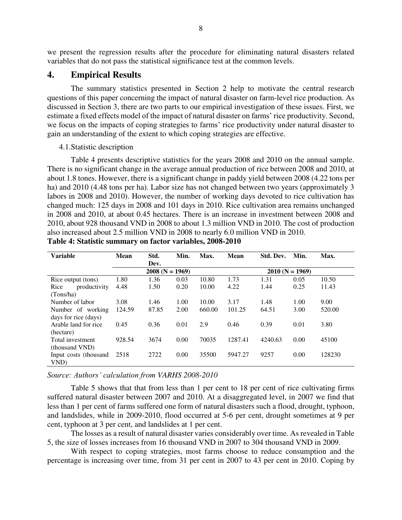we present the regression results after the procedure for eliminating natural disasters related variables that do not pass the statistical significance test at the common levels.

### **4. Empirical Results**

The summary statistics presented in Section 2 help to motivate the central research questions of this paper concerning the impact of natural disaster on farm-level rice production. As discussed in Section 3, there are two parts to our empirical investigation of these issues. First, we estimate a fixed effects model of the impact of natural disaster on farms' rice productivity. Second, we focus on the impacts of coping strategies to farms' rice productivity under natural disaster to gain an understanding of the extent to which coping strategies are effective.

#### 4.1.Statistic description

Table 4 presents descriptive statistics for the years 2008 and 2010 on the annual sample. There is no significant change in the average annual production of rice between 2008 and 2010, at about 1.8 tones. However, there is a significant change in paddy yield between 2008 (4.22 tons per ha) and 2010 (4.48 tons per ha). Labor size has not changed between two years (approximately 3 labors in 2008 and 2010). However, the number of working days devoted to rice cultivation has changed much: 125 days in 2008 and 101 days in 2010. Rice cultivation area remains unchanged in 2008 and 2010, at about 0.45 hectares. There is an increase in investment between 2008 and 2010, about 928 thousand VND in 2008 to about 1.3 million VND in 2010. The cost of production also increased about 2.5 million VND in 2008 to nearly 6.0 million VND in 2010.

| <b>Variable</b>       | Mean   | Std.              | Min. | Max.   | Mean    | Std. Dev. | Min.              | Max.   |
|-----------------------|--------|-------------------|------|--------|---------|-----------|-------------------|--------|
|                       |        | Dev.              |      |        |         |           |                   |        |
|                       |        | $2008 (N = 1969)$ |      |        |         |           | $2010 (N = 1969)$ |        |
| Rice output (tons)    | 1.80   | 1.36              | 0.03 | 10.80  | 1.73    | 1.31      | 0.05              | 10.50  |
| productivity<br>Rice  | 4.48   | 1.50              | 0.20 | 10.00  | 4.22    | 1.44      | 0.25              | 11.43  |
| (Tons/ha)             |        |                   |      |        |         |           |                   |        |
| Number of labor       | 3.08   | 1.46              | 1.00 | 10.00  | 3.17    | 1.48      | 1.00              | 9.00   |
| Number of working     | 124.59 | 87.85             | 2.00 | 660.00 | 101.25  | 64.51     | 3.00              | 520.00 |
| days for rice (days)  |        |                   |      |        |         |           |                   |        |
| Arable land for rice  | 0.45   | 0.36              | 0.01 | 2.9    | 0.46    | 0.39      | 0.01              | 3.80   |
| (hectare)             |        |                   |      |        |         |           |                   |        |
| Total investment      | 928.54 | 3674              | 0.00 | 70035  | 1287.41 | 4240.63   | 0.00              | 45100  |
| (thousand VND)        |        |                   |      |        |         |           |                   |        |
| Input costs (thousand | 2518   | 2722              | 0.00 | 35500  | 5947.27 | 9257      | 0.00              | 128230 |
| VND)                  |        |                   |      |        |         |           |                   |        |

**Table 4: Statistic summary on factor variables, 2008-2010** 

#### *Source: Authors' calculation from VARHS 2008-2010*

Table 5 shows that that from less than 1 per cent to 18 per cent of rice cultivating firms suffered natural disaster between 2007 and 2010. At a disaggregated level, in 2007 we find that less than 1 per cent of farms suffered one form of natural disasters such a flood, drought, typhoon, and landslides, while in 2009-2010, flood occurred at 5-6 per cent, drought sometimes at 9 per cent, typhoon at 3 per cent, and landslides at 1 per cent.

The losses as a result of natural disaster varies considerably over time. As revealed in Table 5, the size of losses increases from 16 thousand VND in 2007 to 304 thousand VND in 2009.

With respect to coping strategies, most farms choose to reduce consumption and the percentage is increasing over time, from 31 per cent in 2007 to 43 per cent in 2010. Coping by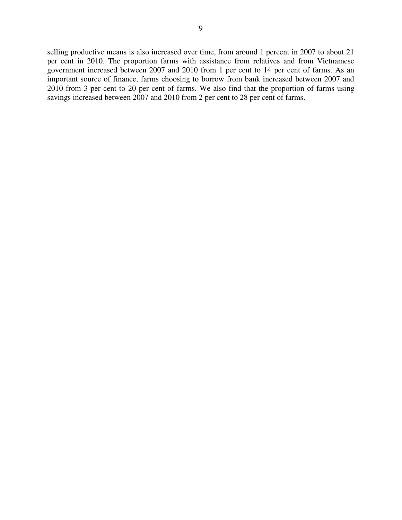selling productive means is also increased over time, from around 1 percent in 2007 to about 21 per cent in 2010. The proportion farms with assistance from relatives and from Vietnamese government increased between 2007 and 2010 from 1 per cent to 14 per cent of farms. As an important source of finance, farms choosing to borrow from bank increased between 2007 and 2010 from 3 per cent to 20 per cent of farms. We also find that the proportion of farms using savings increased between 2007 and 2010 from 2 per cent to 28 per cent of farms.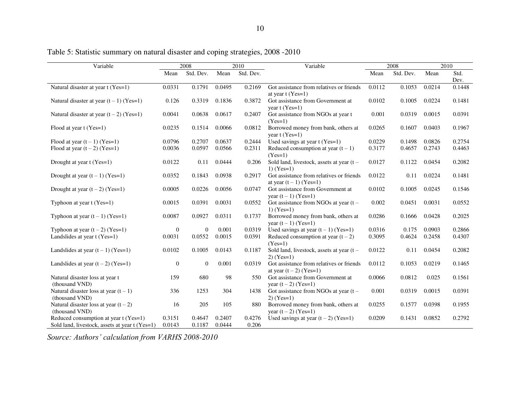| Variable                                                                                |                  | 2008             |                  | 2010            | Variable                                                            | 2008   |           | 2010   |              |
|-----------------------------------------------------------------------------------------|------------------|------------------|------------------|-----------------|---------------------------------------------------------------------|--------|-----------|--------|--------------|
|                                                                                         | Mean             | Std. Dev.        | Mean             | Std. Dev.       |                                                                     | Mean   | Std. Dev. | Mean   | Std.<br>Dev. |
| Natural disaster at year t (Yes=1)                                                      | 0.0331           | 0.1791           | 0.0495           | 0.2169          | Got assistance from relatives or friends<br>at year $t$ (Yes=1)     | 0.0112 | 0.1053    | 0.0214 | 0.1448       |
| Natural disaster at year $(t-1)$ (Yes=1)                                                | 0.126            | 0.3319           | 0.1836           | 0.3872          | Got assistance from Government at<br>vear $t$ (Yes=1)               | 0.0102 | 0.1005    | 0.0224 | 0.1481       |
| Natural disaster at year $(t-2)$ (Yes=1)                                                | 0.0041           | 0.0638           | 0.0617           | 0.2407          | Got assistance from NGOs at year t<br>$(Yes=1)$                     | 0.001  | 0.0319    | 0.0015 | 0.0391       |
| Flood at year t (Yes=1)                                                                 | 0.0235           | 0.1514           | 0.0066           | 0.0812          | Borrowed money from bank, others at<br>vear $t$ (Yes=1)             | 0.0265 | 0.1607    | 0.0403 | 0.1967       |
| Flood at year $(t-1)$ (Yes=1)                                                           | 0.0796           | 0.2707           | 0.0637           | 0.2444          | Used savings at year $t$ (Yes=1)                                    | 0.0229 | 0.1498    | 0.0826 | 0.2754       |
| Flood at year $(t-2)$ (Yes=1)                                                           | 0.0036           | 0.0597           | 0.0566           | 0.2311          | Reduced consumption at year $(t - 1)$<br>$(Yes=1)$                  | 0.3177 | 0.4657    | 0.2743 | 0.4463       |
| Drought at year t (Yes=1)                                                               | 0.0122           | 0.11             | 0.0444           | 0.206           | Sold land, livestock, assets at year $(t -$<br>1) $(Yes=1)$         | 0.0127 | 0.1122    | 0.0454 | 0.2082       |
| Drought at year $(t-1)$ (Yes=1)                                                         | 0.0352           | 0.1843           | 0.0938           | 0.2917          | Got assistance from relatives or friends<br>at year $(t-1)$ (Yes=1) | 0.0122 | 0.11      | 0.0224 | 0.1481       |
| Drought at year $(t-2)$ (Yes=1)                                                         | 0.0005           | 0.0226           | 0.0056           | 0.0747          | Got assistance from Government at<br>year $(t - 1)$ (Yes=1)         | 0.0102 | 0.1005    | 0.0245 | 0.1546       |
| Typhoon at year $t$ (Yes=1)                                                             | 0.0015           | 0.0391           | 0.0031           | 0.0552          | Got assistance from NGOs at year $(t –$<br>$1) (Yes=1)$             | 0.002  | 0.0451    | 0.0031 | 0.0552       |
| Typhoon at year $(t-1)$ (Yes=1)                                                         | 0.0087           | 0.0927           | 0.0311           | 0.1737          | Borrowed money from bank, others at<br>year $(t - 1)$ (Yes=1)       | 0.0286 | 0.1666    | 0.0428 | 0.2025       |
| Typhoon at year $(t-2)$ (Yes=1)                                                         | $\overline{0}$   | $\overline{0}$   | 0.001            | 0.0319          | Used savings at year $(t-1)$ (Yes=1)                                | 0.0316 | 0.175     | 0.0903 | 0.2866       |
| Landslides at year t (Yes=1)                                                            | 0.0031           | 0.0552           | 0.0015           | 0.0391          | Reduced consumption at year $(t - 2)$<br>$(Yes=1)$                  | 0.3095 | 0.4624    | 0.2458 | 0.4307       |
| Landslides at year $(t-1)$ (Yes=1)                                                      | 0.0102           | 0.1005           | 0.0143           | 0.1187          | Sold land, livestock, assets at year $(t -$<br>$2) (Yes=1)$         | 0.0122 | 0.11      | 0.0454 | 0.2082       |
| Landslides at year $(t-2)$ (Yes=1)                                                      | $\mathbf{0}$     | $\overline{0}$   | 0.001            | 0.0319          | Got assistance from relatives or friends<br>at year $(t-2)$ (Yes=1) | 0.0112 | 0.1053    | 0.0219 | 0.1465       |
| Natural disaster loss at year t<br>(thousand VND)                                       | 159              | 680              | 98               | 550             | Got assistance from Government at<br>year $(t - 2)$ (Yes=1)         | 0.0066 | 0.0812    | 0.025  | 0.1561       |
| Natural disaster loss at year $(t - 1)$<br>(thousand VND)                               | 336              | 1253             | 304              | 1438            | Got assistance from NGOs at year $(t -$<br>$2) (Yes=1)$             | 0.001  | 0.0319    | 0.0015 | 0.0391       |
| Natural disaster loss at year $(t - 2)$<br>(thousand VND)                               | 16               | 205              | 105              | 880             | Borrowed money from bank, others at<br>year $(t - 2)$ (Yes=1)       | 0.0255 | 0.1577    | 0.0398 | 0.1955       |
| Reduced consumption at year t (Yes=1)<br>Sold land, livestock, assets at year t (Yes=1) | 0.3151<br>0.0143 | 0.4647<br>0.1187 | 0.2407<br>0.0444 | 0.4276<br>0.206 | Used savings at year $(t-2)$ (Yes=1)                                | 0.0209 | 0.1431    | 0.0852 | 0.2792       |

Table 5: Statistic summary on natural disaster and coping strategies, 2008 -2010

*Source: Authors' calculation from VARHS 2008-2010*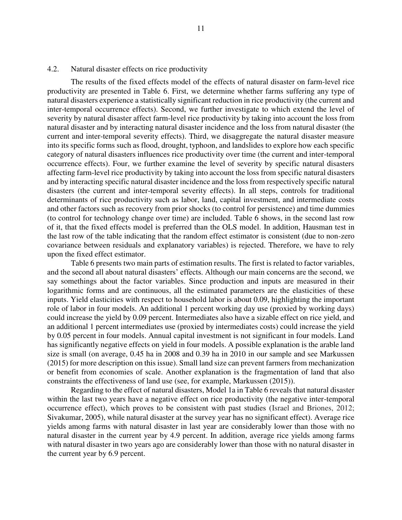#### 4.2. Natural disaster effects on rice productivity

The results of the fixed effects model of the effects of natural disaster on farm-level rice productivity are presented in Table 6. First, we determine whether farms suffering any type of natural disasters experience a statistically significant reduction in rice productivity (the current and inter-temporal occurrence effects). Second, we further investigate to which extend the level of severity by natural disaster affect farm-level rice productivity by taking into account the loss from natural disaster and by interacting natural disaster incidence and the loss from natural disaster (the current and inter-temporal severity effects). Third, we disaggregate the natural disaster measure into its specific forms such as flood, drought, typhoon, and landslides to explore how each specific category of natural disasters influences rice productivity over time (the current and inter-temporal occurrence effects). Four, we further examine the level of severity by specific natural disasters affecting farm-level rice productivity by taking into account the loss from specific natural disasters and by interacting specific natural disaster incidence and the loss from respectively specific natural disasters (the current and inter-temporal severity effects). In all steps, controls for traditional determinants of rice productivity such as labor, land, capital investment, and intermediate costs and other factors such as recovery from prior shocks (to control for persistence) and time dummies (to control for technology change over time) are included. Table 6 shows, in the second last row of it, that the fixed effects model is preferred than the OLS model. In addition, Hausman test in the last row of the table indicating that the random effect estimator is consistent (due to non-zero covariance between residuals and explanatory variables) is rejected. Therefore, we have to rely upon the fixed effect estimator.

Table 6 presents two main parts of estimation results. The first is related to factor variables, and the second all about natural disasters' effects. Although our main concerns are the second, we say somethings about the factor variables. Since production and inputs are measured in their logarithmic forms and are continuous, all the estimated parameters are the elasticities of these inputs. Yield elasticities with respect to household labor is about 0.09, highlighting the important role of labor in four models. An additional 1 percent working day use (proxied by working days) could increase the yield by 0.09 percent. Intermediates also have a sizable effect on rice yield, and an additional 1 percent intermediates use (proxied by intermediates costs) could increase the yield by 0.05 percent in four models. Annual capital investment is not significant in four models. Land has significantly negative effects on yield in four models. A possible explanation is the arable land size is small (on average, 0.45 ha in 2008 and 0.39 ha in 2010 in our sample and see Markussen (2015) for more description on this issue). Small land size can prevent farmers from mechanization or benefit from economies of scale. Another explanation is the fragmentation of land that also constraints the effectiveness of land use (see, for example, Markussen (2015)).

Regarding to the effect of natural disasters, Model 1a in Table 6 reveals that natural disaster within the last two years have a negative effect on rice productivity (the negative inter-temporal occurrence effect), which proves to be consistent with past studies (Israel and Briones, 2012; Sivakumar, 2005), while natural disaster at the survey year has no significant effect). Average rice yields among farms with natural disaster in last year are considerably lower than those with no natural disaster in the current year by 4.9 percent. In addition, average rice yields among farms with natural disaster in two years ago are considerably lower than those with no natural disaster in the current year by 6.9 percent.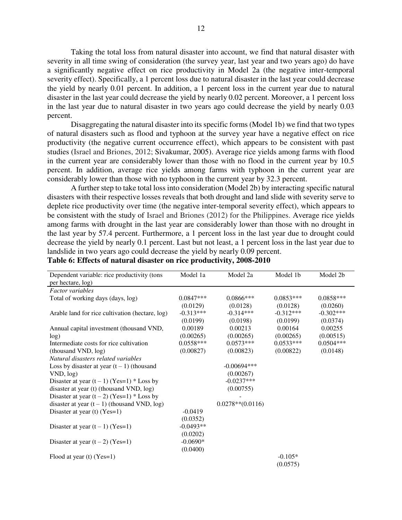Taking the total loss from natural disaster into account, we find that natural disaster with severity in all time swing of consideration (the survey year, last year and two years ago) do have a significantly negative effect on rice productivity in Model 2a (the negative inter-temporal severity effect). Specifically, a 1 percent loss due to natural disaster in the last year could decrease the yield by nearly 0.01 percent. In addition, a 1 percent loss in the current year due to natural disaster in the last year could decrease the yield by nearly 0.02 percent. Moreover, a 1 percent loss in the last year due to natural disaster in two years ago could decrease the yield by nearly 0.03 percent.

Disaggregating the natural disaster into its specific forms (Model 1b) we find that two types of natural disasters such as flood and typhoon at the survey year have a negative effect on rice productivity (the negative current occurrence effect), which appears to be consistent with past studies (Israel and Briones, 2012; Sivakumar, 2005). Average rice yields among farms with flood in the current year are considerably lower than those with no flood in the current year by 10.5 percent. In addition, average rice yields among farms with typhoon in the current year are considerably lower than those with no typhoon in the current year by 32.3 percent.

A further step to take total loss into consideration (Model 2b) by interacting specific natural disasters with their respective losses reveals that both drought and land slide with severity serve to deplete rice productivity over time (the negative inter-temporal severity effect), which appears to be consistent with the study of Israel and Briones (2012) for the Philippines. Average rice yields among farms with drought in the last year are considerably lower than those with no drought in the last year by 57.4 percent. Furthermore, a 1 percent loss in the last year due to drought could decrease the yield by nearly 0.1 percent. Last but not least, a 1 percent loss in the last year due to landslide in two years ago could decrease the yield by nearly 0.09 percent.

| Dependent variable: rice productivity (tons     | Model 1a    | Model 2a            | Model 1b    | Model 2b    |
|-------------------------------------------------|-------------|---------------------|-------------|-------------|
| per hectare, log)                               |             |                     |             |             |
| <b>Factor</b> variables                         |             |                     |             |             |
| Total of working days (days, log)               | $0.0847***$ | 0.0866***           | $0.0853***$ | $0.0858***$ |
|                                                 | (0.0129)    | (0.0128)            | (0.0128)    | (0.0260)    |
| Arable land for rice cultivation (hectare, log) | $-0.313***$ | $-0.314***$         | $-0.312***$ | $-0.302***$ |
|                                                 | (0.0199)    | (0.0198)            | (0.0199)    | (0.0374)    |
| Annual capital investment (thousand VND,        | 0.00189     | 0.00213             | 0.00164     | 0.00255     |
| log)                                            | (0.00265)   | (0.00265)           | (0.00265)   | (0.00515)   |
| Intermediate costs for rice cultivation         | $0.0558***$ | $0.0573***$         | $0.0533***$ | $0.0504***$ |
| (thousand VND, log)                             | (0.00827)   | (0.00823)           | (0.00822)   | (0.0148)    |
| Natural disasters related variables             |             |                     |             |             |
| Loss by disaster at year $(t-1)$ (thousand      |             | $-0.00694***$       |             |             |
| VND, log)                                       |             | (0.00267)           |             |             |
| Disaster at year $(t-1)$ (Yes=1) * Loss by      |             | $-0.0237***$        |             |             |
| disaster at year (t) (thousand VND, log)        |             | (0.00755)           |             |             |
| Disaster at year $(t-2)$ (Yes=1) * Loss by      |             |                     |             |             |
| disaster at year $(t-1)$ (thousand VND, log)    |             | $0.0278**$ (0.0116) |             |             |
| Disaster at year $(t)$ (Yes=1)                  | $-0.0419$   |                     |             |             |
|                                                 | (0.0352)    |                     |             |             |
| Disaster at year $(t-1)$ (Yes=1)                | $-0.0493**$ |                     |             |             |
|                                                 | (0.0202)    |                     |             |             |
| Disaster at year $(t-2)$ (Yes=1)                | $-0.0690*$  |                     |             |             |
|                                                 | (0.0400)    |                     |             |             |
| Flood at year $(t)$ (Yes=1)                     |             |                     | $-0.105*$   |             |
|                                                 |             |                     | (0.0575)    |             |

**Table 6: Effects of natural disaster on rice productivity, 2008-2010**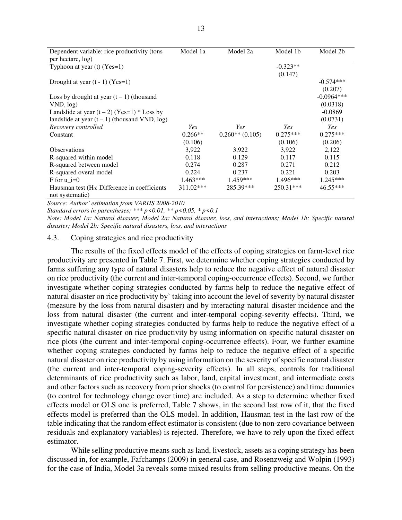| Dependent variable: rice productivity (tons     | Model 1a   | Model 2a          | Model 1b    | Model 2b     |
|-------------------------------------------------|------------|-------------------|-------------|--------------|
| per hectare, log)                               |            |                   |             |              |
| Typhoon at year $(t)$ (Yes=1)                   |            |                   | $-0.323**$  |              |
|                                                 |            |                   | (0.147)     |              |
| Drought at year $(t - 1)$ (Yes=1)               |            |                   |             | $-0.574***$  |
|                                                 |            |                   |             | (0.207)      |
| Loss by drought at year $(t-1)$ (thousand       |            |                   |             | $-0.0964***$ |
| VND, log)                                       |            |                   |             | (0.0318)     |
| Landslide at year $(t-2)$ (Yes=1) * Loss by     |            |                   |             | $-0.0869$    |
| landslide at year $(t-1)$ (thousand VND, log)   |            |                   |             | (0.0731)     |
| Recovery controlled                             | Yes        | <b>Yes</b>        | <b>Yes</b>  | Yes          |
| Constant                                        | $0.266**$  | $0.260**$ (0.105) | $0.275***$  | $0.275***$   |
|                                                 | (0.106)    |                   | (0.106)     | (0.206)      |
| <b>Observations</b>                             | 3.922      | 3.922             | 3.922       | 2,122        |
| R-squared within model                          | 0.118      | 0.129             | 0.117       | 0.115        |
| R-squared between model                         | 0.274      | 0.287             | 0.271       | 0.212        |
| R-squared overal model                          | 0.224      | 0.237             | 0.221       | 0.203        |
| F for $u = 0$                                   | $1.463***$ | 1.459***          | $1.496***$  | 1.245***     |
| Hausman test $(H_0:$ Difference in coefficients | 311.02***  | 285.39***         | $250.31***$ | 46.55***     |
| not systematic)                                 |            |                   |             |              |

*Source: Author' estimation from VARHS 2008-2010* 

*Standard errors in parentheses; \*\*\* p<0.01, \*\* p<0.05, \* p<0.1*

*Note: Model 1a: Natural disaster; Model 2a: Natural disaster, loss, and interactions; Model 1b: Specific natural disaster; Model 2b: Specific natural disasters, loss, and interactions* 

#### 4.3. Coping strategies and rice productivity

The results of the fixed effects model of the effects of coping strategies on farm-level rice productivity are presented in Table 7. First, we determine whether coping strategies conducted by farms suffering any type of natural disasters help to reduce the negative effect of natural disaster on rice productivity (the current and inter-temporal coping-occurrence effects). Second, we further investigate whether coping strategies conducted by farms help to reduce the negative effect of natural disaster on rice productivity by` taking into account the level of severity by natural disaster (measure by the loss from natural disaster) and by interacting natural disaster incidence and the loss from natural disaster (the current and inter-temporal coping-severity effects). Third, we investigate whether coping strategies conducted by farms help to reduce the negative effect of a specific natural disaster on rice productivity by using information on specific natural disaster on rice plots (the current and inter-temporal coping-occurrence effects). Four, we further examine whether coping strategies conducted by farms help to reduce the negative effect of a specific natural disaster on rice productivity by using information on the severity of specific natural disaster (the current and inter-temporal coping-severity effects). In all steps, controls for traditional determinants of rice productivity such as labor, land, capital investment, and intermediate costs and other factors such as recovery from prior shocks (to control for persistence) and time dummies (to control for technology change over time) are included. As a step to determine whether fixed effects model or OLS one is preferred, Table 7 shows, in the second last row of it, that the fixed effects model is preferred than the OLS model. In addition, Hausman test in the last row of the table indicating that the random effect estimator is consistent (due to non-zero covariance between residuals and explanatory variables) is rejected. Therefore, we have to rely upon the fixed effect estimator.

While selling productive means such as land, livestock, assets as a coping strategy has been discussed in, for example, Fafchamps (2009) in general case, and Rosenzweig and Wolpin (1993) for the case of India, Model 3a reveals some mixed results from selling productive means. On the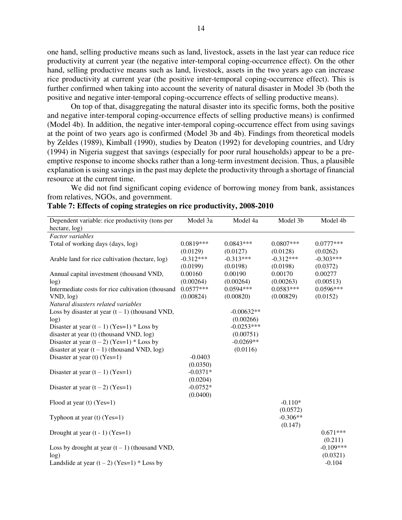one hand, selling productive means such as land, livestock, assets in the last year can reduce rice productivity at current year (the negative inter-temporal coping-occurrence effect). On the other hand, selling productive means such as land, livestock, assets in the two years ago can increase rice productivity at current year (the positive inter-temporal coping-occurrence effect). This is further confirmed when taking into account the severity of natural disaster in Model 3b (both the positive and negative inter-temporal coping-occurrence effects of selling productive means).

On top of that, disaggregating the natural disaster into its specific forms, both the positive and negative inter-temporal coping-occurrence effects of selling productive means) is confirmed (Model 4b). In addition, the negative inter-temporal coping-occurrence effect from using savings at the point of two years ago is confirmed (Model 3b and 4b). Findings from theoretical models by Zeldes (1989), Kimball (1990), studies by Deaton (1992) for developing countries, and Udry (1994) in Nigeria suggest that savings (especially for poor rural households) appear to be a preemptive response to income shocks rather than a long-term investment decision. Thus, a plausible explanation is using savings in the past may deplete the productivity through a shortage of financial resource at the current time.

We did not find significant coping evidence of borrowing money from bank, assistances from relatives, NGOs, and government.

| Dependent variable: rice productivity (tons per   | Model 3a    | Model 4a     | Model 3b    | Model 4b             |
|---------------------------------------------------|-------------|--------------|-------------|----------------------|
| hectare, log)                                     |             |              |             |                      |
| <b>Factor</b> variables                           |             |              |             |                      |
| Total of working days (days, log)                 | $0.0819***$ | $0.0843***$  | $0.0807***$ | $0.0777***$          |
|                                                   | (0.0129)    | (0.0127)     | (0.0128)    | (0.0262)             |
| Arable land for rice cultivation (hectare, log)   | $-0.312***$ | $-0.313***$  | $-0.312***$ | $-0.303***$          |
|                                                   | (0.0199)    | (0.0198)     | (0.0198)    | (0.0372)             |
| Annual capital investment (thousand VND,          | 0.00160     | 0.00190      | 0.00170     | 0.00277              |
| log)                                              | (0.00264)   | (0.00264)    | (0.00263)   | (0.00513)            |
| Intermediate costs for rice cultivation (thousand | $0.0577***$ | $0.0594***$  | $0.0583***$ | $0.0596***$          |
| VND, log)                                         | (0.00824)   | (0.00820)    | (0.00829)   | (0.0152)             |
| Natural disasters related variables               |             |              |             |                      |
| Loss by disaster at year $(t - 1)$ (thousand VND, |             | $-0.00632**$ |             |                      |
| log)                                              |             | (0.00266)    |             |                      |
| Disaster at year $(t-1)$ (Yes=1) * Loss by        |             | $-0.0253***$ |             |                      |
| disaster at year (t) (thousand VND, log)          |             | (0.00751)    |             |                      |
| Disaster at year $(t-2)$ (Yes=1) * Loss by        |             | $-0.0269**$  |             |                      |
| disaster at year $(t-1)$ (thousand VND, log)      |             | (0.0116)     |             |                      |
| Disaster at year (t) $(Yes=1)$                    | $-0.0403$   |              |             |                      |
|                                                   | (0.0350)    |              |             |                      |
| Disaster at year $(t-1)$ (Yes=1)                  | $-0.0371*$  |              |             |                      |
|                                                   | (0.0204)    |              |             |                      |
| Disaster at year $(t-2)$ (Yes=1)                  | $-0.0752*$  |              |             |                      |
|                                                   | (0.0400)    |              |             |                      |
| Flood at year $(t)$ (Yes=1)                       |             |              | $-0.110*$   |                      |
|                                                   |             |              | (0.0572)    |                      |
| Typhoon at year $(t)$ (Yes=1)                     |             |              | $-0.306**$  |                      |
|                                                   |             |              | (0.147)     |                      |
| Drought at year $(t - 1)$ (Yes=1)                 |             |              |             | $0.671***$           |
|                                                   |             |              |             | (0.211)              |
|                                                   |             |              |             | $-0.109***$          |
| Loss by drought at year $(t-1)$ (thousand VND,    |             |              |             |                      |
| log)                                              |             |              |             | (0.0321)<br>$-0.104$ |
| Landslide at year $(t-2)$ (Yes=1) * Loss by       |             |              |             |                      |

|  |  | Table 7: Effects of coping strategies on rice productivity, 2008-2010 |  |
|--|--|-----------------------------------------------------------------------|--|
|  |  |                                                                       |  |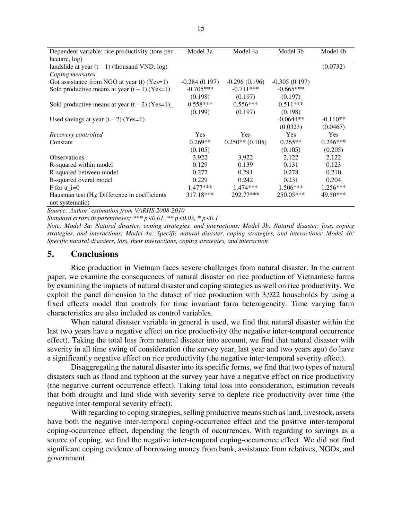| Dependent variable: rice productivity (tons per                    | Model 3a        | Model 4a          | Model 3b        | Model 4b   |
|--------------------------------------------------------------------|-----------------|-------------------|-----------------|------------|
| hectare, log)                                                      |                 |                   |                 |            |
| landslide at year $(t-1)$ (thousand VND, log)                      |                 |                   |                 | (0.0732)   |
| Coping measures                                                    |                 |                   |                 |            |
| Got assistance from NGO at year $(t)$ (Yes=1)                      | $-0.284(0.197)$ | $-0.296(0.196)$   | $-0.305(0.197)$ |            |
| Sold productive means at year $(t-1)$ (Yes=1)                      | $-0.705***$     | $-0.711***$       | $-0.665***$     |            |
|                                                                    | (0.198)         | (0.197)           | (0.197)         |            |
| Sold productive means at year $(t-2)$ (Yes=1)                      | $0.558***$      | $0.556***$        | $0.511***$      |            |
|                                                                    | (0.199)         | (0.197)           | (0.198)         |            |
| Used savings at year $(t-2)$ (Yes=1)                               |                 |                   | $-0.0644**$     | $-0.110**$ |
|                                                                    |                 |                   | (0.0323)        | (0.0467)   |
| Recovery controlled                                                | <b>Yes</b>      | <b>Yes</b>        | Yes             | <b>Yes</b> |
| Constant                                                           | $0.269**$       | $0.250**$ (0.105) | $0.265**$       | $0.246***$ |
|                                                                    | (0.105)         |                   | (0.105)         | (0.205)    |
| <b>Observations</b>                                                | 3,922           | 3,922             | 2,122           | 2,122      |
| R-squared within model                                             | 0.129           | 0.139             | 0.131           | 0.123      |
| R-squared between model                                            | 0.277           | 0.291             | 0.278           | 0.210      |
| R-squared overal model                                             | 0.229           | 0.242             | 0.231           | 0.204      |
| F for $u_i=0$                                                      | $1.477***$      | $1.474***$        | $1.506***$      | $1.256***$ |
| Hausman test $(H_0:$ Difference in coefficients<br>not systematic) | 317.18***       | 292.77***         | 250.05***       | 49.50***   |

*Source: Author' estimation from VARHS 2008-2010* 

*Standard errors in parentheses; \*\*\* p<0.01, \*\* p<0.05, \* p<0.1*

*Note: Model 3a: Natural disaster, coping strategies, and interactions; Model 3b: Natural disaster, loss, coping strategies, and interactions; Model 4a: Specific natural disaster, coping strategies, and interactions; Model 4b: Specific natural disasters, loss, their interactions, coping strategies, and interaction*

### **5. Conclusions**

Rice production in Vietnam faces severe challenges from natural disaster. In the current paper, we examine the consequences of natural disaster on rice production of Vietnamese farms by examining the impacts of natural disaster and coping strategies as well on rice productivity. We exploit the panel dimension to the dataset of rice production with 3,922 households by using a fixed effects model that controls for time invariant farm heterogeneity. Time varying farm characteristics are also included as control variables.

When natural disaster variable in general is used, we find that natural disaster within the last two years have a negative effect on rice productivity (the negative inter-temporal occurrence effect). Taking the total loss from natural disaster into account, we find that natural disaster with severity in all time swing of consideration (the survey year, last year and two years ago) do have a significantly negative effect on rice productivity (the negative inter-temporal severity effect).

Disaggregating the natural disaster into its specific forms, we find that two types of natural disasters such as flood and typhoon at the survey year have a negative effect on rice productivity (the negative current occurrence effect). Taking total loss into consideration, estimation reveals that both drought and land slide with severity serve to deplete rice productivity over time (the negative inter-temporal severity effect).

With regarding to coping strategies, selling productive means such as land, livestock, assets have both the negative inter-temporal coping-occurrence effect and the positive inter-temporal coping-occurrence effect, depending the length of occurrences. With regarding to savings as a source of coping, we find the negative inter-temporal coping-occurrence effect. We did not find significant coping evidence of borrowing money from bank, assistance from relatives, NGOs, and government.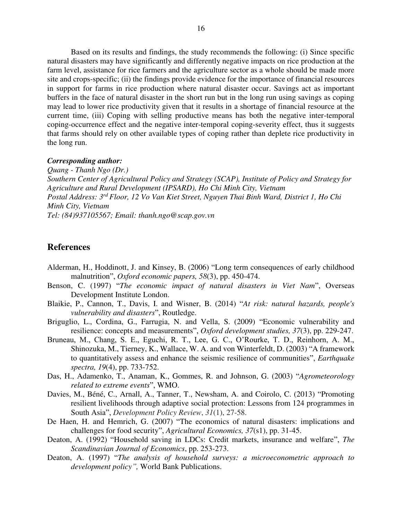Based on its results and findings, the study recommends the following: (i) Since specific natural disasters may have significantly and differently negative impacts on rice production at the farm level, assistance for rice farmers and the agriculture sector as a whole should be made more site and crops-specific; (ii) the findings provide evidence for the importance of financial resources in support for farms in rice production where natural disaster occur. Savings act as important buffers in the face of natural disaster in the short run but in the long run using savings as coping may lead to lower rice productivity given that it results in a shortage of financial resource at the current time, (iii) Coping with selling productive means has both the negative inter-temporal coping-occurrence effect and the negative inter-temporal coping-severity effect, thus it suggests that farms should rely on other available types of coping rather than deplete rice productivity in the long run.

#### *Corresponding author:*

*Quang - Thanh Ngo (Dr.) Southern Center of Agricultural Policy and Strategy (SCAP), Institute of Policy and Strategy for Agriculture and Rural Development (IPSARD), Ho Chi Minh City, Vietnam Postal Address: 3rd Floor, 12 Vo Van Kiet Street, Nguyen Thai Binh Ward, District 1, Ho Chi Minh City, Vietnam Tel: (84)937105567; Email: [thanh.ngo@scap.gov.vn](mailto:thanh.ngo@scap.gov.vn)* 

# **References**

- Alderman, H., Hoddinott, J. and Kinsey, B. (2006) "Long term consequences of early childhood malnutrition", *Oxford economic papers, 58*(3), pp. 450-474.
- Benson, C. (1997) "*The economic impact of natural disasters in Viet Nam*", Overseas Development Institute London.
- Blaikie, P., Cannon, T., Davis, I. and Wisner, B. (2014) "*At risk: natural hazards, people's vulnerability and disasters*", Routledge.
- Briguglio, L., Cordina, G., Farrugia, N. and Vella, S. (2009) "Economic vulnerability and resilience: concepts and measurements", *Oxford development studies, 37*(3), pp. 229-247.
- Bruneau, M., Chang, S. E., Eguchi, R. T., Lee, G. C., O'Rourke, T. D., Reinhorn, A. M., Shinozuka, M., Tierney, K., Wallace, W. A. and von Winterfeldt, D. (2003) "A framework to quantitatively assess and enhance the seismic resilience of communities", *Earthquake spectra, 19*(4), pp. 733-752.
- Das, H., Adamenko, T., Anaman, K., Gommes, R. and Johnson, G. (2003) "*Agrometeorology related to extreme events*", WMO.
- Davies, M., Béné, C., Arnall, A., Tanner, T., Newsham, A. and Coirolo, C. (2013) "Promoting resilient livelihoods through adaptive social protection: Lessons from 124 programmes in South Asia", *Development Policy Review*, *31*(1), 27-58.
- De Haen, H. and Hemrich, G. (2007) "The economics of natural disasters: implications and challenges for food security", *Agricultural Economics, 37*(s1), pp. 31-45.
- Deaton, A. (1992) "Household saving in LDCs: Credit markets, insurance and welfare", *The Scandinavian Journal of Economics*, pp. 253-273.
- Deaton, A. (1997) "*The analysis of household surveys: a microeconometric approach to development policy",* World Bank Publications.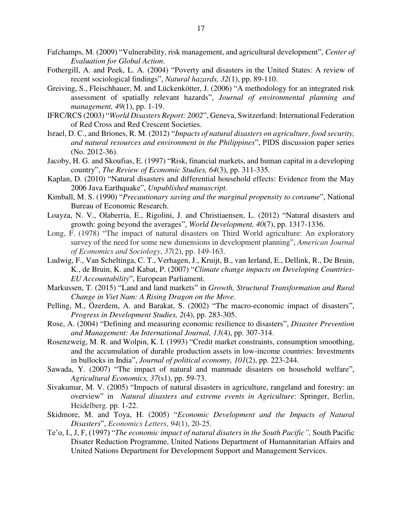- Fafchamps, M. (2009) "Vulnerability, risk management, and agricultural development", *Center of Evaluation for Global Action*.
- Fothergill, A. and Peek, L. A. (2004) "Poverty and disasters in the United States: A review of recent sociological findings", *Natural hazards, 32*(1), pp. 89-110.
- Greiving, S., Fleischhauer, M. and Lückenkötter, J. (2006) "A methodology for an integrated risk assessment of spatially relevant hazards", *Journal of environmental planning and management, 49*(1), pp. 1-19.
- IFRC/RCS (2003) "*World Disasters Report: 2002*", Geneva, Switzerland: International Federation of Red Cross and Red Crescent Societies.
- Israel, D. C., and Briones, R. M. (2012) "*Impacts of natural disasters on agriculture, food security, and natural resources and environment in the Philippines*", PIDS discussion paper series (No. 2012-36).
- Jacoby, H. G. and Skoufias, E. (1997) "Risk, financial markets, and human capital in a developing country", *The Review of Economic Studies, 64*(3), pp. 311-335.
- Kaplan, D. (2010) "Natural disasters and differential household effects: Evidence from the May 2006 Java Earthquake", *Unpublished manuscript*.
- Kimball, M. S. (1990) "*Precautionary saving and the marginal propensity to consume*", National Bureau of Economic Research.
- Loayza, N. V., Olaberria, E., Rigolini, J. and Christiaensen, L. (2012) "Natural disasters and growth: going beyond the averages", *World Development, 40*(7), pp. 1317-1336.
- Long, F. (1978) "The impact of natural disasters on Third World agriculture: An exploratory survey of the need for some new dimensions in development planning", *American Journal of Economics and Sociology*, *37*(2), pp. 149-163.
- Ludwig, F., Van Scheltinga, C. T., Verhagen, J., Kruijt, B., van Ierland, E., Dellink, R., De Bruin, K., de Bruin, K. and Kabat, P. (2007) "*Climate change impacts on Developing Countries-EU Accountability*", European Parliament.
- Markussen, T. (2015) "Land and land markets" in *Growth, Structural Transformation and Rural Change in Viet Nam: A Rising Dragon on the Move*.
- Pelling, M., Özerdem, A. and Barakat, S. (2002) "The macro-economic impact of disasters", *Progress in Development Studies, 2*(4), pp. 283-305.
- Rose, A. (2004) "Defining and measuring economic resilience to disasters", *Disaster Prevention and Management: An International Journal, 13*(4), pp. 307-314.
- Rosenzweig, M. R. and Wolpin, K. I. (1993) "Credit market constraints, consumption smoothing, and the accumulation of durable production assets in low-income countries: Investments in bullocks in India", *Journal of political economy, 101*(2), pp. 223-244.
- Sawada, Y. (2007) "The impact of natural and manmade disasters on household welfare", *Agricultural Economics, 37*(s1), pp. 59-73.
- Sivakumar, M. V. (2005) "Impacts of natural disasters in agriculture, rangeland and forestry: an overview" in *Natural disasters and extreme events in Agriculture*: Springer, Berlin, Heidelberg. pp. 1-22.
- Skidmore, M. and Toya, H. (2005) "*Economic Development and the Impacts of Natural Disasters*", *Economics Letters*, *94*(1), 20-25.
- Te'o, I., J, F, (1997) "*The economic impact of natural disaters in the South Pacific",* South Pacific Disater Reduction Programme, United Nations Department of Humannitarian Affairs and United Nations Department for Development Support and Management Services.